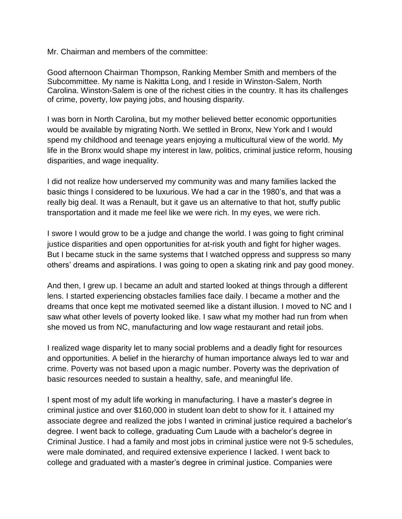Mr. Chairman and members of the committee:

Good afternoon Chairman Thompson, Ranking Member Smith and members of the Subcommittee. My name is Nakitta Long, and I reside in Winston-Salem, North Carolina. Winston-Salem is one of the richest cities in the country. It has its challenges of crime, poverty, low paying jobs, and housing disparity.

I was born in North Carolina, but my mother believed better economic opportunities would be available by migrating North. We settled in Bronx, New York and I would spend my childhood and teenage years enjoying a multicultural view of the world. My life in the Bronx would shape my interest in law, politics, criminal justice reform, housing disparities, and wage inequality.

I did not realize how underserved my community was and many families lacked the basic things I considered to be luxurious. We had a car in the 1980's, and that was a really big deal. It was a Renault, but it gave us an alternative to that hot, stuffy public transportation and it made me feel like we were rich. In my eyes, we were rich.

I swore I would grow to be a judge and change the world. I was going to fight criminal justice disparities and open opportunities for at-risk youth and fight for higher wages. But I became stuck in the same systems that I watched oppress and suppress so many others' dreams and aspirations. I was going to open a skating rink and pay good money.

And then, I grew up. I became an adult and started looked at things through a different lens. I started experiencing obstacles families face daily. I became a mother and the dreams that once kept me motivated seemed like a distant illusion. I moved to NC and I saw what other levels of poverty looked like. I saw what my mother had run from when she moved us from NC, manufacturing and low wage restaurant and retail jobs.

I realized wage disparity let to many social problems and a deadly fight for resources and opportunities. A belief in the hierarchy of human importance always led to war and crime. Poverty was not based upon a magic number. Poverty was the deprivation of basic resources needed to sustain a healthy, safe, and meaningful life.

I spent most of my adult life working in manufacturing. I have a master's degree in criminal justice and over \$160,000 in student loan debt to show for it. I attained my associate degree and realized the jobs I wanted in criminal justice required a bachelor's degree. I went back to college, graduating Cum Laude with a bachelor's degree in Criminal Justice. I had a family and most jobs in criminal justice were not 9-5 schedules, were male dominated, and required extensive experience I lacked. I went back to college and graduated with a master's degree in criminal justice. Companies were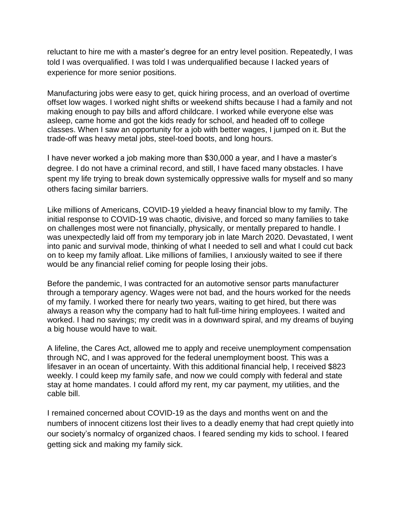reluctant to hire me with a master's degree for an entry level position. Repeatedly, I was told I was overqualified. I was told I was underqualified because I lacked years of experience for more senior positions.

Manufacturing jobs were easy to get, quick hiring process, and an overload of overtime offset low wages. I worked night shifts or weekend shifts because I had a family and not making enough to pay bills and afford childcare. I worked while everyone else was asleep, came home and got the kids ready for school, and headed off to college classes. When I saw an opportunity for a job with better wages, I jumped on it. But the trade-off was heavy metal jobs, steel-toed boots, and long hours.

I have never worked a job making more than \$30,000 a year, and I have a master's degree. I do not have a criminal record, and still, I have faced many obstacles. I have spent my life trying to break down systemically oppressive walls for myself and so many others facing similar barriers.

Like millions of Americans, COVID-19 yielded a heavy financial blow to my family. The initial response to COVID-19 was chaotic, divisive, and forced so many families to take on challenges most were not financially, physically, or mentally prepared to handle. I was unexpectedly laid off from my temporary job in late March 2020. Devastated, I went into panic and survival mode, thinking of what I needed to sell and what I could cut back on to keep my family afloat. Like millions of families, I anxiously waited to see if there would be any financial relief coming for people losing their jobs.

Before the pandemic, I was contracted for an automotive sensor parts manufacturer through a temporary agency. Wages were not bad, and the hours worked for the needs of my family. I worked there for nearly two years, waiting to get hired, but there was always a reason why the company had to halt full-time hiring employees. I waited and worked. I had no savings; my credit was in a downward spiral, and my dreams of buying a big house would have to wait.

A lifeline, the Cares Act, allowed me to apply and receive unemployment compensation through NC, and I was approved for the federal unemployment boost. This was a lifesaver in an ocean of uncertainty. With this additional financial help, I received \$823 weekly. I could keep my family safe, and now we could comply with federal and state stay at home mandates. I could afford my rent, my car payment, my utilities, and the cable bill.

I remained concerned about COVID-19 as the days and months went on and the numbers of innocent citizens lost their lives to a deadly enemy that had crept quietly into our society's normalcy of organized chaos. I feared sending my kids to school. I feared getting sick and making my family sick.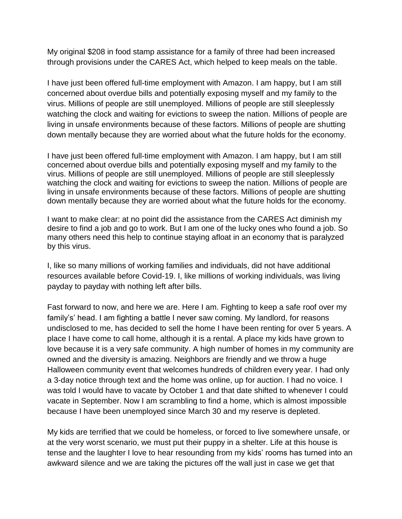My original \$208 in food stamp assistance for a family of three had been increased through provisions under the CARES Act, which helped to keep meals on the table.

I have just been offered full-time employment with Amazon. I am happy, but I am still concerned about overdue bills and potentially exposing myself and my family to the virus. Millions of people are still unemployed. Millions of people are still sleeplessly watching the clock and waiting for evictions to sweep the nation. Millions of people are living in unsafe environments because of these factors. Millions of people are shutting down mentally because they are worried about what the future holds for the economy.

I have just been offered full-time employment with Amazon. I am happy, but I am still concerned about overdue bills and potentially exposing myself and my family to the virus. Millions of people are still unemployed. Millions of people are still sleeplessly watching the clock and waiting for evictions to sweep the nation. Millions of people are living in unsafe environments because of these factors. Millions of people are shutting down mentally because they are worried about what the future holds for the economy.

I want to make clear: at no point did the assistance from the CARES Act diminish my desire to find a job and go to work. But I am one of the lucky ones who found a job. So many others need this help to continue staying afloat in an economy that is paralyzed by this virus.

I, like so many millions of working families and individuals, did not have additional resources available before Covid-19. I, like millions of working individuals, was living payday to payday with nothing left after bills.

Fast forward to now, and here we are. Here I am. Fighting to keep a safe roof over my family's' head. I am fighting a battle I never saw coming. My landlord, for reasons undisclosed to me, has decided to sell the home I have been renting for over 5 years. A place I have come to call home, although it is a rental. A place my kids have grown to love because it is a very safe community. A high number of homes in my community are owned and the diversity is amazing. Neighbors are friendly and we throw a huge Halloween community event that welcomes hundreds of children every year. I had only a 3-day notice through text and the home was online, up for auction. I had no voice. I was told I would have to vacate by October 1 and that date shifted to whenever I could vacate in September. Now I am scrambling to find a home, which is almost impossible because I have been unemployed since March 30 and my reserve is depleted.

My kids are terrified that we could be homeless, or forced to live somewhere unsafe, or at the very worst scenario, we must put their puppy in a shelter. Life at this house is tense and the laughter I love to hear resounding from my kids' rooms has turned into an awkward silence and we are taking the pictures off the wall just in case we get that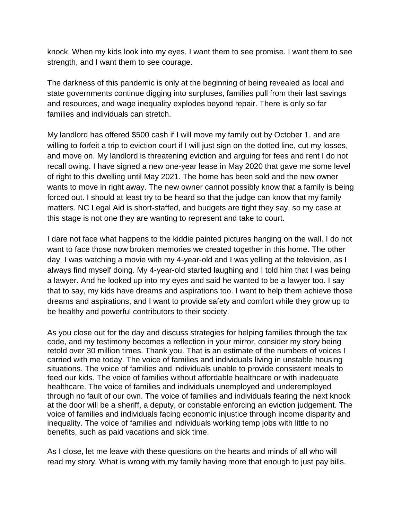knock. When my kids look into my eyes, I want them to see promise. I want them to see strength, and I want them to see courage.

The darkness of this pandemic is only at the beginning of being revealed as local and state governments continue digging into surpluses, families pull from their last savings and resources, and wage inequality explodes beyond repair. There is only so far families and individuals can stretch.

My landlord has offered \$500 cash if I will move my family out by October 1, and are willing to forfeit a trip to eviction court if I will just sign on the dotted line, cut my losses, and move on. My landlord is threatening eviction and arguing for fees and rent I do not recall owing. I have signed a new one-year lease in May 2020 that gave me some level of right to this dwelling until May 2021. The home has been sold and the new owner wants to move in right away. The new owner cannot possibly know that a family is being forced out. I should at least try to be heard so that the judge can know that my family matters. NC Legal Aid is short-staffed, and budgets are tight they say, so my case at this stage is not one they are wanting to represent and take to court.

I dare not face what happens to the kiddie painted pictures hanging on the wall. I do not want to face those now broken memories we created together in this home. The other day, I was watching a movie with my 4-year-old and I was yelling at the television, as I always find myself doing. My 4-year-old started laughing and I told him that I was being a lawyer. And he looked up into my eyes and said he wanted to be a lawyer too. I say that to say, my kids have dreams and aspirations too. I want to help them achieve those dreams and aspirations, and I want to provide safety and comfort while they grow up to be healthy and powerful contributors to their society.

As you close out for the day and discuss strategies for helping families through the tax code, and my testimony becomes a reflection in your mirror, consider my story being retold over 30 million times. Thank you. That is an estimate of the numbers of voices I carried with me today. The voice of families and individuals living in unstable housing situations. The voice of families and individuals unable to provide consistent meals to feed our kids. The voice of families without affordable healthcare or with inadequate healthcare. The voice of families and individuals unemployed and underemployed through no fault of our own. The voice of families and individuals fearing the next knock at the door will be a sheriff, a deputy, or constable enforcing an eviction judgement. The voice of families and individuals facing economic injustice through income disparity and inequality. The voice of families and individuals working temp jobs with little to no benefits, such as paid vacations and sick time.

As I close, let me leave with these questions on the hearts and minds of all who will read my story. What is wrong with my family having more that enough to just pay bills.